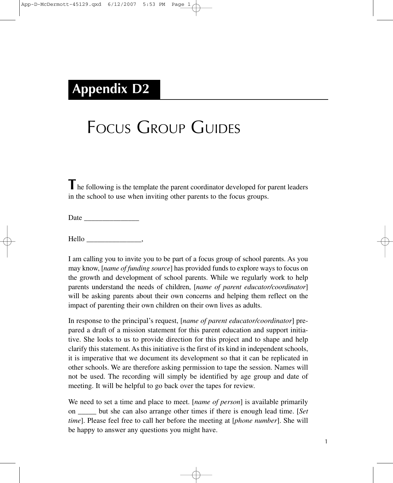## **Appendix D2**

## FOCUS GROUP GUIDES

**T**he following is the template the parent coordinator developed for parent leaders in the school to use when inviting other parents to the focus groups.

Date \_\_\_\_\_\_\_\_\_\_\_\_\_\_\_

Hello \_\_\_\_\_\_\_\_\_\_\_\_\_\_\_,

I am calling you to invite you to be part of a focus group of school parents. As you may know, [*name of funding source*] has provided funds to explore ways to focus on the growth and development of school parents. While we regularly work to help parents understand the needs of children, [*name of parent educator/coordinator*] will be asking parents about their own concerns and helping them reflect on the impact of parenting their own children on their own lives as adults.

In response to the principal's request, [*name of parent educator/coordinator*] prepared a draft of a mission statement for this parent education and support initiative. She looks to us to provide direction for this project and to shape and help clarify this statement. As this initiative is the first of its kind in independent schools, it is imperative that we document its development so that it can be replicated in other schools. We are therefore asking permission to tape the session. Names will not be used. The recording will simply be identified by age group and date of meeting. It will be helpful to go back over the tapes for review.

We need to set a time and place to meet. [*name of person*] is available primarily on \_\_\_\_\_ but she can also arrange other times if there is enough lead time. [*Set time*]. Please feel free to call her before the meeting at [*phone number*]. She will be happy to answer any questions you might have.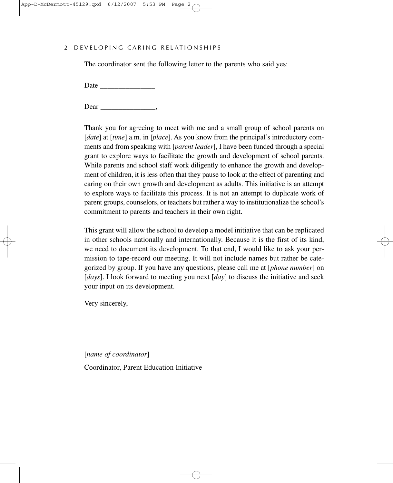## 2 DEVELOPING CARING RELATIONSHIPS

The coordinator sent the following letter to the parents who said yes:

Date \_\_\_\_\_\_\_\_\_\_\_\_\_\_\_

Dear \_\_\_\_\_\_\_\_\_\_\_\_\_\_\_,

Thank you for agreeing to meet with me and a small group of school parents on [*date*] at [*time*] a.m. in [*place*]. As you know from the principal's introductory comments and from speaking with [*parent leader*], I have been funded through a special grant to explore ways to facilitate the growth and development of school parents. While parents and school staff work diligently to enhance the growth and development of children, it is less often that they pause to look at the effect of parenting and caring on their own growth and development as adults. This initiative is an attempt to explore ways to facilitate this process. It is not an attempt to duplicate work of parent groups, counselors, or teachers but rather a way to institutionalize the school's commitment to parents and teachers in their own right.

This grant will allow the school to develop a model initiative that can be replicated in other schools nationally and internationally. Because it is the first of its kind, we need to document its development. To that end, I would like to ask your permission to tape-record our meeting. It will not include names but rather be categorized by group. If you have any questions, please call me at [*phone number*] on [*days*]. I look forward to meeting you next [*day*] to discuss the initiative and seek your input on its development.

Very sincerely,

[*name of coordinator*]

Coordinator, Parent Education Initiative